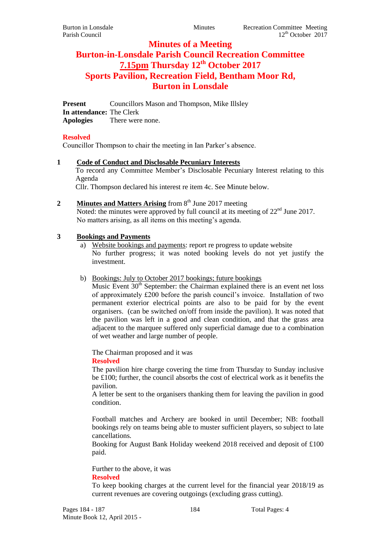# **Minutes of a Meeting Burton-in-Lonsdale Parish Council Recreation Committee 7.15pm Thursday 12 th October 2017 Sports Pavilion, Recreation Field, Bentham Moor Rd, Burton in Lonsdale**

**Present** Councillors Mason and Thompson, Mike Illsley **In attendance:** The Clerk **Apologies** There were none.

### **Resolved**

Councillor Thompson to chair the meeting in Ian Parker's absence.

**1 Code of Conduct and Disclosable Pecuniary Interests** To record any Committee Member's Disclosable Pecuniary Interest relating to this Agenda

Cllr. Thompson declared his interest re item 4c. See Minute below.

2 **Minutes and Matters Arising** from 8<sup>th</sup> June 2017 meeting Noted: the minutes were approved by full council at its meeting of  $22<sup>nd</sup>$  June 2017. No matters arising, as all items on this meeting's agenda.

#### **3 Bookings and Payments**

- a) Website bookings and payments: report re progress to update website No further progress; it was noted booking levels do not yet justify the investment.
- b) Bookings: July to October 2017 bookings; future bookings

Music Event  $30<sup>th</sup>$  September: the Chairman explained there is an event net loss of approximately £200 before the parish council's invoice. Installation of two permanent exterior electrical points are also to be paid for by the event organisers. (can be switched on/off from inside the pavilion). It was noted that the pavilion was left in a good and clean condition, and that the grass area adjacent to the marquee suffered only superficial damage due to a combination of wet weather and large number of people.

The Chairman proposed and it was

**Resolved**

The pavilion hire charge covering the time from Thursday to Sunday inclusive be £100; further, the council absorbs the cost of electrical work as it benefits the pavilion.

A letter be sent to the organisers thanking them for leaving the pavilion in good condition.

Football matches and Archery are booked in until December; NB: football bookings rely on teams being able to muster sufficient players, so subject to late cancellations.

Booking for August Bank Holiday weekend 2018 received and deposit of £100 paid.

Further to the above, it was **Resolved**

To keep booking charges at the current level for the financial year 2018/19 as current revenues are covering outgoings (excluding grass cutting).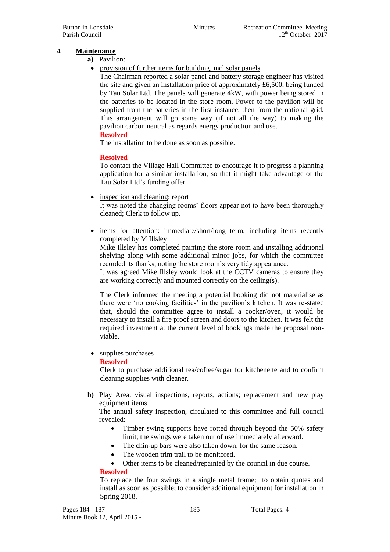## **4 Maintenance**

- **a)** Pavilion:
- provision of further items for building, incl solar panels

The Chairman reported a solar panel and battery storage engineer has visited the site and given an installation price of approximately £6,500, being funded by Tau Solar Ltd. The panels will generate 4kW, with power being stored in the batteries to be located in the store room. Power to the pavilion will be supplied from the batteries in the first instance, then from the national grid. This arrangement will go some way (if not all the way) to making the pavilion carbon neutral as regards energy production and use.

### **Resolved**

The installation to be done as soon as possible.

#### **Resolved**

To contact the Village Hall Committee to encourage it to progress a planning application for a similar installation, so that it might take advantage of the Tau Solar Ltd's funding offer.

• inspection and cleaning: report

It was noted the changing rooms' floors appear not to have been thoroughly cleaned; Clerk to follow up.

• items for attention: immediate/short/long term, including items recently completed by M Illsley

Mike Illsley has completed painting the store room and installing additional shelving along with some additional minor jobs, for which the committee recorded its thanks, noting the store room's very tidy appearance.

It was agreed Mike Illsley would look at the CCTV cameras to ensure they are working correctly and mounted correctly on the ceiling(s).

The Clerk informed the meeting a potential booking did not materialise as there were 'no cooking facilities' in the pavilion's kitchen. It was re-stated that, should the committee agree to install a cooker/oven, it would be necessary to install a fire proof screen and doors to the kitchen. It was felt the required investment at the current level of bookings made the proposal nonviable.

• supplies purchases

#### **Resolved**

Clerk to purchase additional tea/coffee/sugar for kitchenette and to confirm cleaning supplies with cleaner.

**b)** Play Area: visual inspections, reports, actions; replacement and new play equipment items

The annual safety inspection, circulated to this committee and full council revealed:

- Timber swing supports have rotted through beyond the 50% safety limit; the swings were taken out of use immediately afterward.
- The chin-up bars were also taken down, for the same reason.
- The wooden trim trail to be monitored.
- Other items to be cleaned/repainted by the council in due course.

#### **Resolved**

To replace the four swings in a single metal frame; to obtain quotes and install as soon as possible; to consider additional equipment for installation in Spring 2018.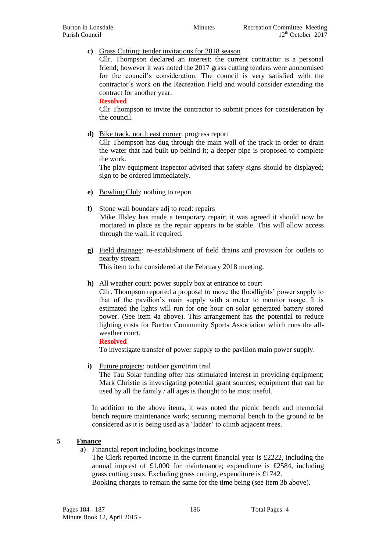#### **c)** Grass Cutting: tender invitations for 2018 season

Cllr. Thompson declared an interest: the current contractor is a personal friend; however it was noted the 2017 grass cutting tenders were anonomised for the council's consideration. The council is very satisfied with the contractor's work on the Recreation Field and would consider extending the contract for another year.

**Resolved**

Cllr Thompson to invite the contractor to submit prices for consideration by the council.

**d)** Bike track, north east corner: progress report

Cllr Thompson has dug through the main wall of the track in order to drain the water that had built up behind it; a deeper pipe is proposed to complete the work.

The play equipment inspector advised that safety signs should be displayed; sign to be ordered immediately.

- **e)** Bowling Club: nothing to report
- **f)** Stone wall boundary adj to road: repairs Mike Illsley has made a temporary repair; it was agreed it should now be mortared in place as the repair appears to be stable. This will allow access through the wall, if required.
- **g)** Field drainage: re-establishment of field drains and provision for outlets to nearby stream This item to be considered at the February 2018 meeting.

**h)** All weather court: power supply box at entrance to court

Cllr. Thompson reported a proposal to move the floodlights' power supply to that of the pavilion's main supply with a meter to monitor usage. It is estimated the lights will run for one hour on solar generated battery stored power. (See item 4a above). This arrangement has the potential to reduce lighting costs for Burton Community Sports Association which runs the allweather court.

#### **Resolved**

To investigate transfer of power supply to the pavilion main power supply.

**i)** Future projects: outdoor gym/trim trail

The Tau Solar funding offer has stimulated interest in providing equipment; Mark Christie is investigating potential grant sources; equipment that can be used by all the family / all ages is thought to be most useful.

In addition to the above items, it was noted the picnic bench and memorial bench require maintenance work; securing memorial bench to the ground to be considered as it is being used as a 'ladder' to climb adjacent trees.

#### **5 Finance**

- a) Financial report including bookings income
	- The Clerk reported income in the current financial year is £2222, including the annual imprest of £1,000 for maintenance; expenditure is £2584, including grass cutting costs. Excluding grass cutting, expenditure is £1742. Booking charges to remain the same for the time being (see item 3b above).